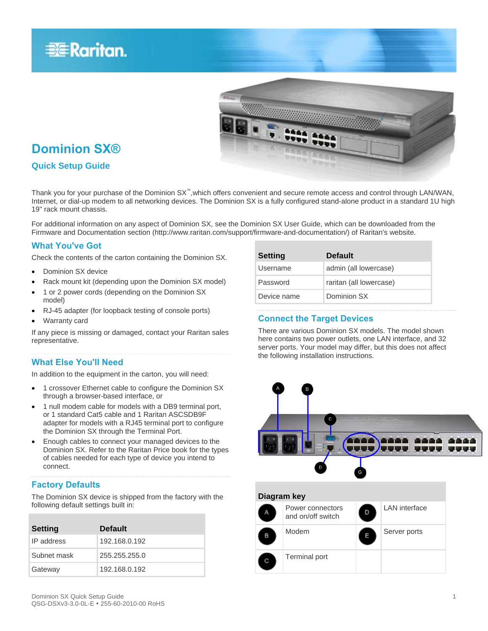



# **Dominion SX®**

### **Quick Setup Guide**

Thank you for your purchase of the Dominion SX™,which offers convenient and secure remote access and control through LAN/WAN, Internet, or dial-up modem to all networking devices. The Dominion SX is a fully configured stand-alone product in a standard 1U high 19" rack mount chassis.

For additional information on any aspect of Dominion SX, see the Dominion SX User Guide, which can be downloaded from the Firmware and Documentation section (http://www.raritan.com/support/firmware-and-documentation/) of Raritan's website.

### **What You've Got**

Check the contents of the carton containing the Dominion SX.

- Dominion SX device
- Rack mount kit (depending upon the Dominion SX model)
- 1 or 2 power cords (depending on the Dominion SX model)
- RJ-45 adapter (for loopback testing of console ports)
- Warranty card

If any piece is missing or damaged, contact your Raritan sales representative.

### **What Else You'll Need**

In addition to the equipment in the carton, you will need:

- 1 crossover Ethernet cable to configure the Dominion SX through a browser-based interface, or
- 1 null modem cable for models with a DB9 terminal port, or 1 standard Cat5 cable and 1 Raritan ASCSDB9F adapter for models with a RJ45 terminal port to configure the Dominion SX through the Terminal Port.
- Enough cables to connect your managed devices to the Dominion SX. Refer to the Raritan Price book for the types of cables needed for each type of device you intend to connect.

# **Factory Defaults**

The Dominion SX device is shipped from the factory with the following default settings built in:

| <b>Setting</b> | <b>Default</b> |
|----------------|----------------|
| IP address     | 192.168.0.192  |
| Subnet mask    | 255.255.255.0  |
| Gateway        | 192.168.0.192  |

| <b>Setting</b> | <b>Default</b>          |
|----------------|-------------------------|
| Username       | admin (all lowercase)   |
| Password       | raritan (all lowercase) |
| Device name    | Dominion SX             |

#### **Connect the Target Devices**

There are various Dominion SX models. The model shown here contains two power outlets, one LAN interface, and 32 server ports. Your model may differ, but this does not affect the following installation instructions.

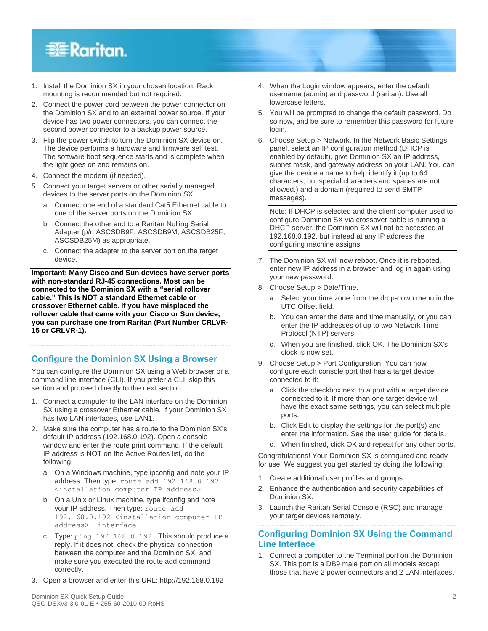# **EXERGritan**.

- 1. Install the Dominion SX in your chosen location. Rack mounting is recommended but not required.
- 2. Connect the power cord between the power connector on the Dominion SX and to an external power source. If your device has two power connectors, you can connect the second power connector to a backup power source.
- 3. Flip the power switch to turn the Dominion SX device on. The device performs a hardware and firmware self test. The software boot sequence starts and is complete when the light goes on and remains on.
- 4. Connect the modem (if needed).
- 5. Connect your target servers or other serially managed devices to the server ports on the Dominion SX.
	- a. Connect one end of a standard Cat5 Ethernet cable to one of the server ports on the Dominion SX.
	- b. Connect the other end to a Raritan Nulling Serial Adapter (p/n ASCSDB9F, ASCSDB9M, ASCSDB25F, ASCSDB25M) as appropriate.
	- c. Connect the adapter to the server port on the target device.

**Important: Many Cisco and Sun devices have server ports with non-standard RJ-45 connections. Most can be connected to the Dominion SX with a "serial rollover cable." This is NOT a standard Ethernet cable or crossover Ethernet cable. If you have misplaced the rollover cable that came with your Cisco or Sun device, you can purchase one from Raritan (Part Number CRLVR-15 or CRLVR-1).**

# **Configure the Dominion SX Using a Browser**

You can configure the Dominion SX using a Web browser or a command line interface (CLI). If you prefer a CLI, skip this section and proceed directly to the next section.

- 1. Connect a computer to the LAN interface on the Dominion SX using a crossover Ethernet cable. If your Dominion SX has two LAN interfaces, use LAN1.
- 2. Make sure the computer has a route to the Dominion SX's default IP address (192.168.0.192). Open a console window and enter the route print command. If the default IP address is NOT on the Active Routes list, do the following:
	- a. On a Windows machine, type ipconfig and note your IP address. Then type: route add 192.168.0.192 <installation computer IP address>
	- b. On a Unix or Linux machine, type ifconfig and note your IP address. Then type: route add 192.168.0.192 <installation computer IP address> -interface
	- c. Type: ping 192.168.0.192. This should produce a reply. If it does not, check the physical connection between the computer and the Dominion SX, and make sure you executed the route add command correctly.
- 3. Open a browser and enter this URL: http://192.168.0.192
- 4. When the Login window appears, enter the default username (admin) and password (raritan). Use all lowercase letters.
- 5. You will be prompted to change the default password. Do so now, and be sure to remember this password for future login.
- 6. Choose Setup > Network. In the Network Basic Settings panel, select an IP configuration method (DHCP is enabled by default), give Dominion SX an IP address, subnet mask, and gateway address on your LAN. You can give the device a name to help identify it (up to 64 characters, but special characters and spaces are not allowed.) and a domain (required to send SMTP messages).

Note: If DHCP is selected and the client computer used to configure Dominion SX via crossover cable is running a DHCP server, the Dominion SX will not be accessed at 192.168.0.192, but instead at any IP address the configuring machine assigns.

- 7. The Dominion SX will now reboot. Once it is rebooted, enter new IP address in a browser and log in again using your new password.
- 8. Choose Setup > Date/Time.
	- a. Select your time zone from the drop-down menu in the UTC Offset field.
	- b. You can enter the date and time manually, or you can enter the IP addresses of up to two Network Time Protocol (NTP) servers.
	- c. When you are finished, click OK. The Dominion SX's clock is now set.
- 9. Choose Setup > Port Configuration. You can now configure each console port that has a target device connected to it:
	- a. Click the checkbox next to a port with a target device connected to it. If more than one target device will have the exact same settings, you can select multiple ports.
	- b. Click Edit to display the settings for the port(s) and enter the information. See the user guide for details.
	- c. When finished, click OK and repeat for any other ports.

Congratulations! Your Dominion SX is configured and ready for use. We suggest you get started by doing the following:

- 1. Create additional user profiles and groups.
- 2. Enhance the authentication and security capabilities of Dominion SX.
- 3. Launch the Raritan Serial Console (RSC) and manage your target devices remotely.

### **Configuring Dominion SX Using the Command Line Interface**

1. Connect a computer to the Terminal port on the Dominion SX. This port is a DB9 male port on all models except those that have 2 power connectors and 2 LAN interfaces.